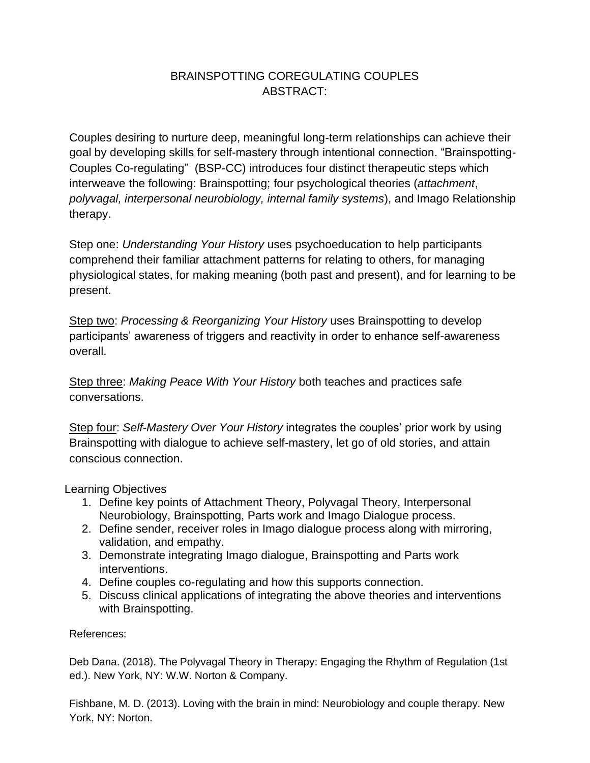## BRAINSPOTTING COREGULATING COUPLES ABSTRACT:

Couples desiring to nurture deep, meaningful long-term relationships can achieve their goal by developing skills for self-mastery through intentional connection. "Brainspotting-Couples Co-regulating" (BSP-CC) introduces four distinct therapeutic steps which interweave the following: Brainspotting; four psychological theories (*attachment*, *polyvagal, interpersonal neurobiology, internal family systems*), and Imago Relationship therapy.

Step one: *Understanding Your History* uses psychoeducation to help participants comprehend their familiar attachment patterns for relating to others, for managing physiological states, for making meaning (both past and present), and for learning to be present.

Step two: *Processing & Reorganizing Your History* uses Brainspotting to develop participants' awareness of triggers and reactivity in order to enhance self-awareness overall.

Step three: *Making Peace With Your History* both teaches and practices safe conversations.

Step four: *Self-Mastery Over Your History* integrates the couples' prior work by using Brainspotting with dialogue to achieve self-mastery, let go of old stories, and attain conscious connection.

Learning Objectives

- 1. Define key points of Attachment Theory, Polyvagal Theory, Interpersonal Neurobiology, Brainspotting, Parts work and Imago Dialogue process.
- 2. Define sender, receiver roles in Imago dialogue process along with mirroring, validation, and empathy.
- 3. Demonstrate integrating Imago dialogue, Brainspotting and Parts work interventions.
- 4. Define couples co-regulating and how this supports connection.
- 5. Discuss clinical applications of integrating the above theories and interventions with Brainspotting.

References:

Deb Dana. (2018). The Polyvagal Theory in Therapy: Engaging the Rhythm of Regulation (1st ed.). New York, NY: W.W. Norton & Company.

Fishbane, M. D. (2013). Loving with the brain in mind: Neurobiology and couple therapy. New York, NY: Norton.